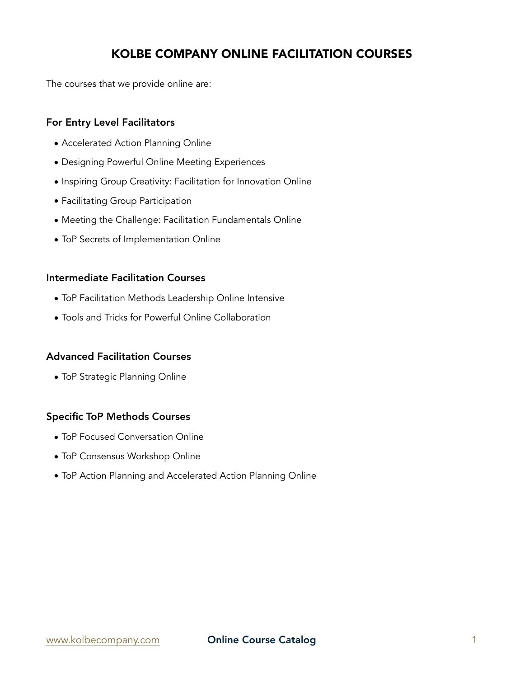# KOLBE COMPANY ONLINE FACILITATION COURSES

The courses that we provide online are:

## For Entry Level Facilitators

- Accelerated Action Planning Online
- Designing Powerful Online Meeting Experiences
- Inspiring Group Creativity: Facilitation for Innovation Online
- Facilitating Group Participation
- Meeting the Challenge: Facilitation Fundamentals Online
- ToP Secrets of Implementation Online

## Intermediate Facilitation Courses

- ToP Facilitation Methods Leadership Online Intensive
- Tools and Tricks for Powerful Online Collaboration

### Advanced Facilitation Courses

• ToP Strategic Planning Online

## Specific ToP Methods Courses

- ToP Focused Conversation Online
- ToP Consensus Workshop Online
- ToP Action Planning and Accelerated Action Planning Online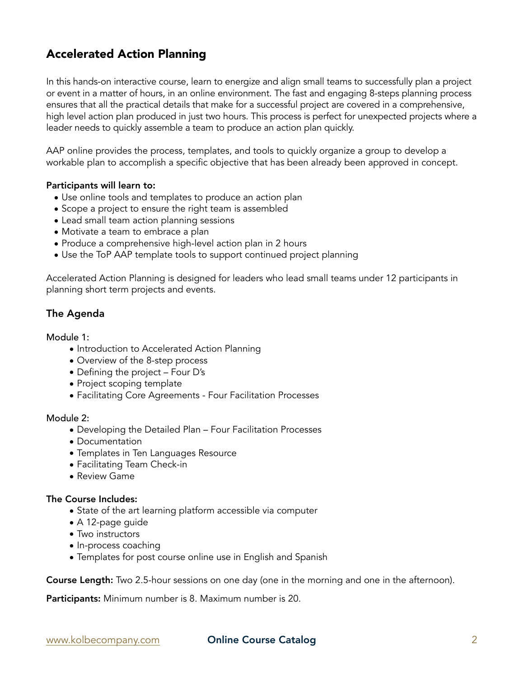# Accelerated Action Planning

In this hands-on interactive course, learn to energize and align small teams to successfully plan a project or event in a matter of hours, in an online environment. The fast and engaging 8-steps planning process ensures that all the practical details that make for a successful project are covered in a comprehensive, high level action plan produced in just two hours. This process is perfect for unexpected projects where a leader needs to quickly assemble a team to produce an action plan quickly.

AAP online provides the process, templates, and tools to quickly organize a group to develop a workable plan to accomplish a specific objective that has been already been approved in concept.

#### Participants will learn to:

- Use online tools and templates to produce an action plan
- Scope a project to ensure the right team is assembled
- Lead small team action planning sessions
- Motivate a team to embrace a plan
- Produce a comprehensive high-level action plan in 2 hours
- Use the ToP AAP template tools to support continued project planning

Accelerated Action Planning is designed for leaders who lead small teams under 12 participants in planning short term projects and events.

## The Agenda

#### Module 1:

- Introduction to Accelerated Action Planning
- Overview of the 8-step process
- Defining the project Four D's
- Project scoping template
- Facilitating Core Agreements Four Facilitation Processes

#### Module 2:

- Developing the Detailed Plan Four Facilitation Processes
- Documentation
- Templates in Ten Languages Resource
- Facilitating Team Check-in
- Review Game

#### The Course Includes:

- State of the art learning platform accessible via computer
- A 12-page guide
- Two instructors
- In-process coaching
- Templates for post course online use in English and Spanish

Course Length: Two 2.5-hour sessions on one day (one in the morning and one in the afternoon).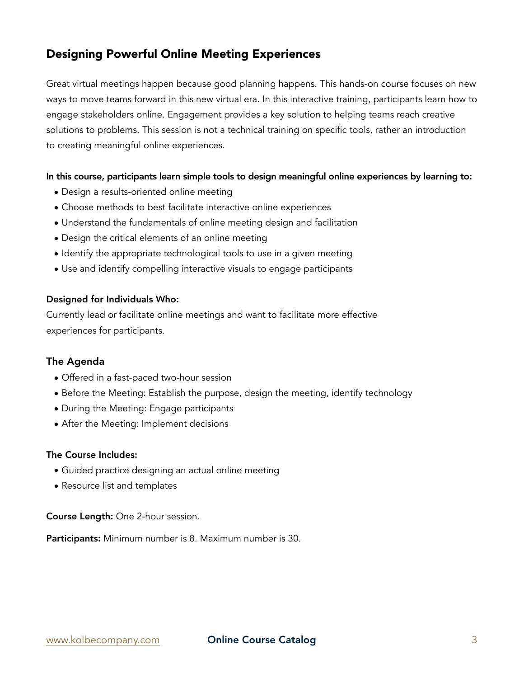# Designing Powerful Online Meeting Experiences

Great virtual meetings happen because good planning happens. This hands-on course focuses on new ways to move teams forward in this new virtual era. In this interactive training, participants learn how to engage stakeholders online. Engagement provides a key solution to helping teams reach creative solutions to problems. This session is not a technical training on specific tools, rather an introduction to creating meaningful online experiences.

### In this course, participants learn simple tools to design meaningful online experiences by learning to:

- Design a results-oriented online meeting
- Choose methods to best facilitate interactive online experiences
- Understand the fundamentals of online meeting design and facilitation
- Design the critical elements of an online meeting
- Identify the appropriate technological tools to use in a given meeting
- Use and identify compelling interactive visuals to engage participants

### Designed for Individuals Who:

Currently lead or facilitate online meetings and want to facilitate more effective experiences for participants.

### The Agenda

- Offered in a fast-paced two-hour session
- Before the Meeting: Establish the purpose, design the meeting, identify technology
- During the Meeting: Engage participants
- After the Meeting: Implement decisions

### The Course Includes:

- Guided practice designing an actual online meeting
- Resource list and templates

Course Length: One 2-hour session.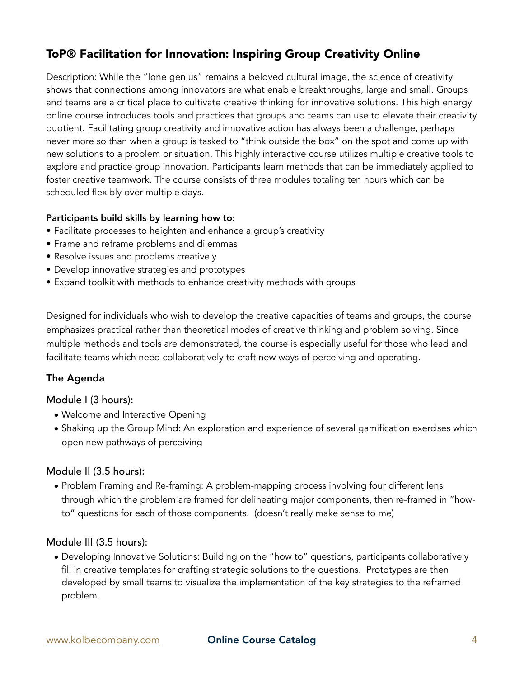# ToP® Facilitation for Innovation: Inspiring Group Creativity Online

Description: While the "lone genius" remains a beloved cultural image, the science of creativity shows that connections among innovators are what enable breakthroughs, large and small. Groups and teams are a critical place to cultivate creative thinking for innovative solutions. This high energy online course introduces tools and practices that groups and teams can use to elevate their creativity quotient. Facilitating group creativity and innovative action has always been a challenge, perhaps never more so than when a group is tasked to "think outside the box" on the spot and come up with new solutions to a problem or situation. This highly interactive course utilizes multiple creative tools to explore and practice group innovation. Participants learn methods that can be immediately applied to foster creative teamwork. The course consists of three modules totaling ten hours which can be scheduled flexibly over multiple days.

## Participants build skills by learning how to:

- Facilitate processes to heighten and enhance a group's creativity
- Frame and reframe problems and dilemmas
- Resolve issues and problems creatively
- Develop innovative strategies and prototypes
- Expand toolkit with methods to enhance creativity methods with groups

Designed for individuals who wish to develop the creative capacities of teams and groups, the course emphasizes practical rather than theoretical modes of creative thinking and problem solving. Since multiple methods and tools are demonstrated, the course is especially useful for those who lead and facilitate teams which need collaboratively to craft new ways of perceiving and operating.

## The Agenda

## Module I (3 hours):

- Welcome and Interactive Opening
- Shaking up the Group Mind: An exploration and experience of several gamification exercises which open new pathways of perceiving

## Module II (3.5 hours):

• Problem Framing and Re-framing: A problem-mapping process involving four different lens through which the problem are framed for delineating major components, then re-framed in "howto" questions for each of those components. (doesn't really make sense to me)

## Module III (3.5 hours):

• Developing Innovative Solutions: Building on the "how to" questions, participants collaboratively fill in creative templates for crafting strategic solutions to the questions. Prototypes are then developed by small teams to visualize the implementation of the key strategies to the reframed problem.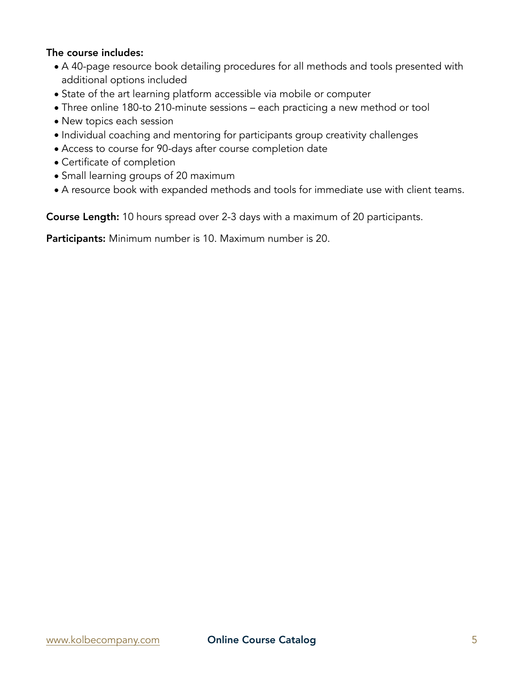## The course includes:

- A 40-page resource book detailing procedures for all methods and tools presented with additional options included
- State of the art learning platform accessible via mobile or computer
- Three online 180-to 210-minute sessions each practicing a new method or tool
- New topics each session
- Individual coaching and mentoring for participants group creativity challenges
- Access to course for 90-days after course completion date
- Certificate of completion
- Small learning groups of 20 maximum
- A resource book with expanded methods and tools for immediate use with client teams.

Course Length: 10 hours spread over 2-3 days with a maximum of 20 participants.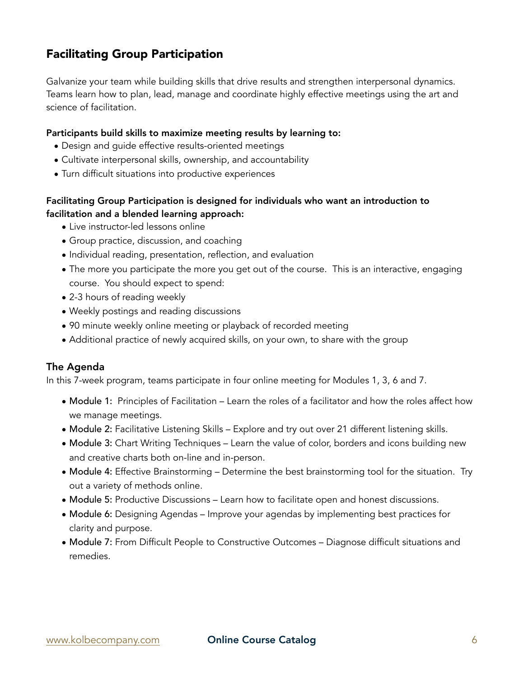# Facilitating Group Participation

Galvanize your team while building skills that drive results and strengthen interpersonal dynamics. Teams learn how to plan, lead, manage and coordinate highly effective meetings using the art and science of facilitation.

### Participants build skills to maximize meeting results by learning to:

- Design and guide effective results-oriented meetings
- Cultivate interpersonal skills, ownership, and accountability
- Turn difficult situations into productive experiences

## Facilitating Group Participation is designed for individuals who want an introduction to facilitation and a blended learning approach:

- Live instructor-led lessons online
- Group practice, discussion, and coaching
- Individual reading, presentation, reflection, and evaluation
- The more you participate the more you get out of the course. This is an interactive, engaging course. You should expect to spend:
- 2-3 hours of reading weekly
- Weekly postings and reading discussions
- 90 minute weekly online meeting or playback of recorded meeting
- Additional practice of newly acquired skills, on your own, to share with the group

### The Agenda

In this 7-week program, teams participate in four online meeting for Modules 1, 3, 6 and 7.

- Module 1: Principles of Facilitation Learn the roles of a facilitator and how the roles affect how we manage meetings.
- Module 2: Facilitative Listening Skills Explore and try out over 21 different listening skills.
- Module 3: Chart Writing Techniques Learn the value of color, borders and icons building new and creative charts both on-line and in-person.
- Module 4: Effective Brainstorming Determine the best brainstorming tool for the situation. Try out a variety of methods online.
- Module 5: Productive Discussions Learn how to facilitate open and honest discussions.
- Module 6: Designing Agendas Improve your agendas by implementing best practices for clarity and purpose.
- Module 7: From Difficult People to Constructive Outcomes Diagnose difficult situations and remedies.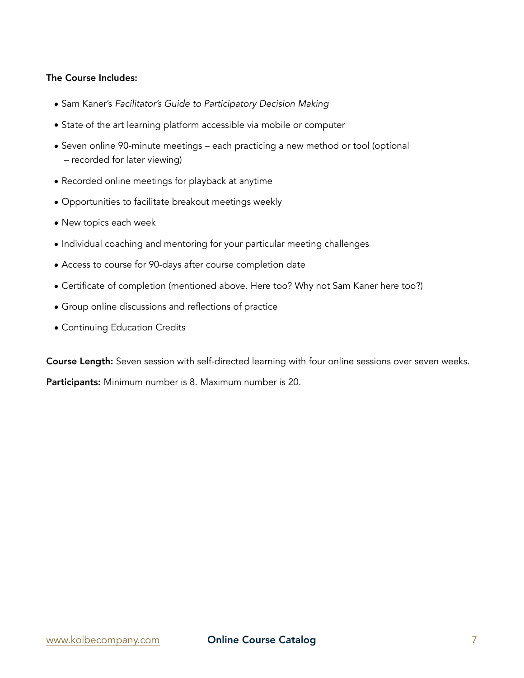- Sam Kaner's *Facilitator's Guide to Participatory Decision Making*
- State of the art learning platform accessible via mobile or computer
- Seven online 90-minute meetings each practicing a new method or tool (optional – recorded for later viewing)
- Recorded online meetings for playback at anytime
- Opportunities to facilitate breakout meetings weekly
- New topics each week
- Individual coaching and mentoring for your particular meeting challenges
- Access to course for 90-days after course completion date
- Certificate of completion (mentioned above. Here too? Why not Sam Kaner here too?)
- Group online discussions and reflections of practice
- Continuing Education Credits

Course Length: Seven session with self-directed learning with four online sessions over seven weeks. Participants: Minimum number is 8. Maximum number is 20.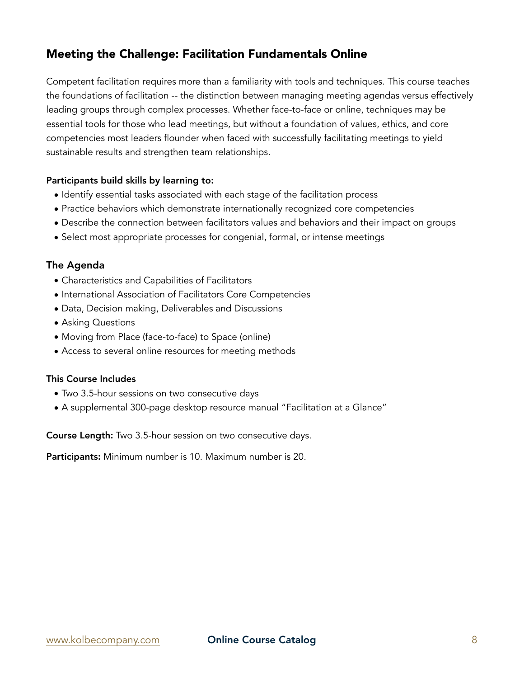# Meeting the Challenge: Facilitation Fundamentals Online

Competent facilitation requires more than a familiarity with tools and techniques. This course teaches the foundations of facilitation -- the distinction between managing meeting agendas versus effectively leading groups through complex processes. Whether face-to-face or online, techniques may be essential tools for those who lead meetings, but without a foundation of values, ethics, and core competencies most leaders flounder when faced with successfully facilitating meetings to yield sustainable results and strengthen team relationships.

## Participants build skills by learning to:

- Identify essential tasks associated with each stage of the facilitation process
- Practice behaviors which demonstrate internationally recognized core competencies
- Describe the connection between facilitators values and behaviors and their impact on groups
- Select most appropriate processes for congenial, formal, or intense meetings

## The Agenda

- Characteristics and Capabilities of Facilitators
- International Association of Facilitators Core Competencies
- Data, Decision making, Deliverables and Discussions
- Asking Questions
- Moving from Place (face-to-face) to Space (online)
- Access to several online resources for meeting methods

### This Course Includes

- Two 3.5-hour sessions on two consecutive days
- A supplemental 300-page desktop resource manual "Facilitation at a Glance"

Course Length: Two 3.5-hour session on two consecutive days.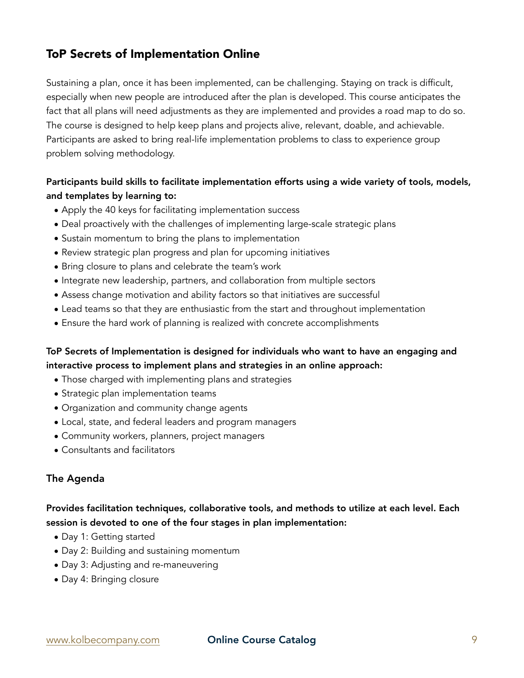# ToP Secrets of Implementation Online

Sustaining a plan, once it has been implemented, can be challenging. Staying on track is difficult, especially when new people are introduced after the plan is developed. This course anticipates the fact that all plans will need adjustments as they are implemented and provides a road map to do so. The course is designed to help keep plans and projects alive, relevant, doable, and achievable. Participants are asked to bring real-life implementation problems to class to experience group problem solving methodology.

## Participants build skills to facilitate implementation efforts using a wide variety of tools, models, and templates by learning to:

- Apply the 40 keys for facilitating implementation success
- Deal proactively with the challenges of implementing large-scale strategic plans
- Sustain momentum to bring the plans to implementation
- Review strategic plan progress and plan for upcoming initiatives
- Bring closure to plans and celebrate the team's work
- Integrate new leadership, partners, and collaboration from multiple sectors
- Assess change motivation and ability factors so that initiatives are successful
- Lead teams so that they are enthusiastic from the start and throughout implementation
- Ensure the hard work of planning is realized with concrete accomplishments

## ToP Secrets of Implementation is designed for individuals who want to have an engaging and interactive process to implement plans and strategies in an online approach:

- Those charged with implementing plans and strategies
- Strategic plan implementation teams
- Organization and community change agents
- Local, state, and federal leaders and program managers
- Community workers, planners, project managers
- Consultants and facilitators

## The Agenda

## Provides facilitation techniques, collaborative tools, and methods to utilize at each level. Each session is devoted to one of the four stages in plan implementation:

- Day 1: Getting started
- Day 2: Building and sustaining momentum
- Day 3: Adjusting and re-maneuvering
- Day 4: Bringing closure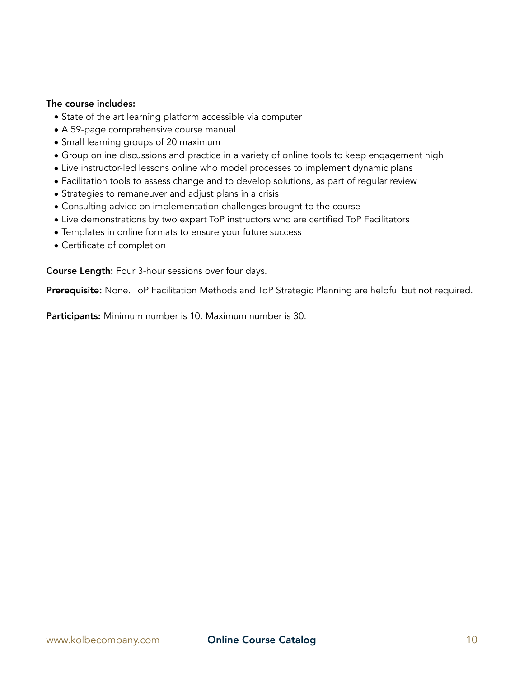## The course includes:

- State of the art learning platform accessible via computer
- A 59-page comprehensive course manual
- Small learning groups of 20 maximum
- Group online discussions and practice in a variety of online tools to keep engagement high
- Live instructor-led lessons online who model processes to implement dynamic plans
- Facilitation tools to assess change and to develop solutions, as part of regular review
- Strategies to remaneuver and adjust plans in a crisis
- Consulting advice on implementation challenges brought to the course
- Live demonstrations by two expert ToP instructors who are certified ToP Facilitators
- Templates in online formats to ensure your future success
- Certificate of completion

Course Length: Four 3-hour sessions over four days.

Prerequisite: None. ToP Facilitation Methods and ToP Strategic Planning are helpful but not required.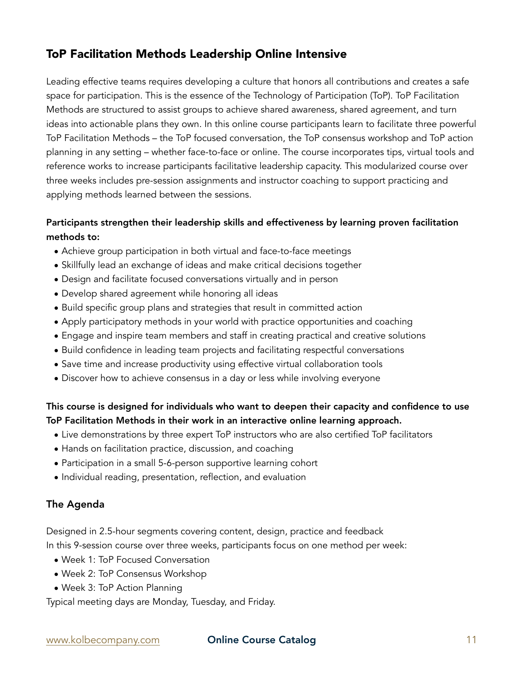# ToP Facilitation Methods Leadership Online Intensive

Leading effective teams requires developing a culture that honors all contributions and creates a safe space for participation. This is the essence of the Technology of Participation (ToP). ToP Facilitation Methods are structured to assist groups to achieve shared awareness, shared agreement, and turn ideas into actionable plans they own. In this online course participants learn to facilitate three powerful ToP Facilitation Methods – the ToP focused conversation, the ToP consensus workshop and ToP action planning in any setting – whether face-to-face or online. The course incorporates tips, virtual tools and reference works to increase participants facilitative leadership capacity. This modularized course over three weeks includes pre-session assignments and instructor coaching to support practicing and applying methods learned between the sessions.

## Participants strengthen their leadership skills and effectiveness by learning proven facilitation methods to:

- Achieve group participation in both virtual and face-to-face meetings
- Skillfully lead an exchange of ideas and make critical decisions together
- Design and facilitate focused conversations virtually and in person
- Develop shared agreement while honoring all ideas
- Build specific group plans and strategies that result in committed action
- Apply participatory methods in your world with practice opportunities and coaching
- Engage and inspire team members and staff in creating practical and creative solutions
- Build confidence in leading team projects and facilitating respectful conversations
- Save time and increase productivity using effective virtual collaboration tools
- Discover how to achieve consensus in a day or less while involving everyone

## This course is designed for individuals who want to deepen their capacity and confidence to use ToP Facilitation Methods in their work in an interactive online learning approach.

- Live demonstrations by three expert ToP instructors who are also certified ToP facilitators
- Hands on facilitation practice, discussion, and coaching
- Participation in a small 5-6-person supportive learning cohort
- Individual reading, presentation, reflection, and evaluation

## The Agenda

Designed in 2.5-hour segments covering content, design, practice and feedback In this 9-session course over three weeks, participants focus on one method per week:

- Week 1: ToP Focused Conversation
- Week 2: ToP Consensus Workshop
- Week 3: ToP Action Planning

Typical meeting days are Monday, Tuesday, and Friday.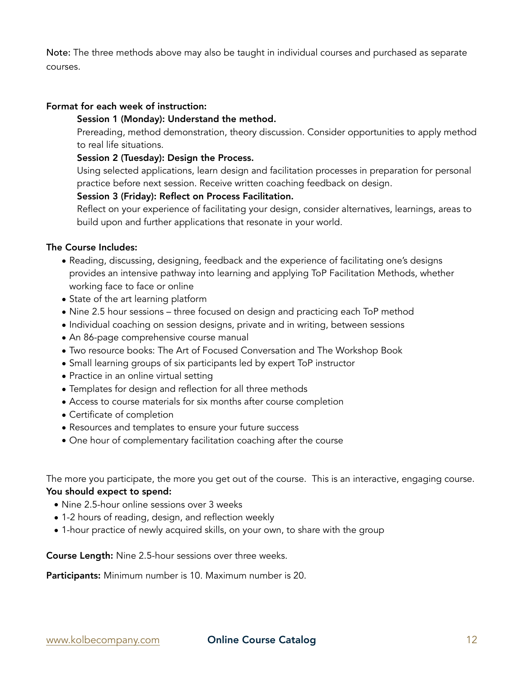Note: The three methods above may also be taught in individual courses and purchased as separate courses.

#### Format for each week of instruction:

#### Session 1 (Monday): Understand the method.

Prereading, method demonstration, theory discussion. Consider opportunities to apply method to real life situations.

## Session 2 (Tuesday): Design the Process.

Using selected applications, learn design and facilitation processes in preparation for personal practice before next session. Receive written coaching feedback on design.

#### Session 3 (Friday): Reflect on Process Facilitation.

Reflect on your experience of facilitating your design, consider alternatives, learnings, areas to build upon and further applications that resonate in your world.

#### The Course Includes:

- Reading, discussing, designing, feedback and the experience of facilitating one's designs provides an intensive pathway into learning and applying ToP Facilitation Methods, whether working face to face or online
- State of the art learning platform
- Nine 2.5 hour sessions three focused on design and practicing each ToP method
- Individual coaching on session designs, private and in writing, between sessions
- An 86-page comprehensive course manual
- Two resource books: The Art of Focused Conversation and The Workshop Book
- Small learning groups of six participants led by expert ToP instructor
- Practice in an online virtual setting
- Templates for design and reflection for all three methods
- Access to course materials for six months after course completion
- Certificate of completion
- Resources and templates to ensure your future success
- One hour of complementary facilitation coaching after the course

The more you participate, the more you get out of the course. This is an interactive, engaging course.

## You should expect to spend:

- Nine 2.5-hour online sessions over 3 weeks
- 1-2 hours of reading, design, and reflection weekly
- 1-hour practice of newly acquired skills, on your own, to share with the group

Course Length: Nine 2.5-hour sessions over three weeks.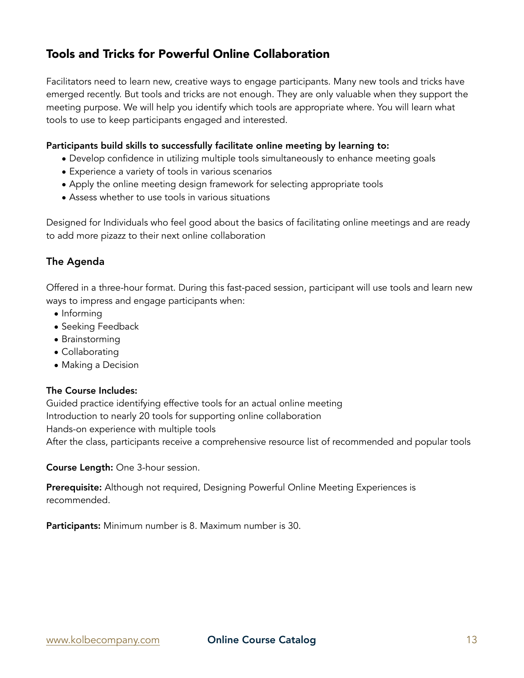# Tools and Tricks for Powerful Online Collaboration

Facilitators need to learn new, creative ways to engage participants. Many new tools and tricks have emerged recently. But tools and tricks are not enough. They are only valuable when they support the meeting purpose. We will help you identify which tools are appropriate where. You will learn what tools to use to keep participants engaged and interested.

## Participants build skills to successfully facilitate online meeting by learning to:

- Develop confidence in utilizing multiple tools simultaneously to enhance meeting goals
- Experience a variety of tools in various scenarios
- Apply the online meeting design framework for selecting appropriate tools
- Assess whether to use tools in various situations

Designed for Individuals who feel good about the basics of facilitating online meetings and are ready to add more pizazz to their next online collaboration

## The Agenda

Offered in a three-hour format. During this fast-paced session, participant will use tools and learn new ways to impress and engage participants when:

- Informing
- Seeking Feedback
- Brainstorming
- Collaborating
- Making a Decision

## The Course Includes:

Guided practice identifying effective tools for an actual online meeting Introduction to nearly 20 tools for supporting online collaboration Hands-on experience with multiple tools After the class, participants receive a comprehensive resource list of recommended and popular tools

Course Length: One 3-hour session.

Prerequisite: Although not required, [Designing Powerful Online Meeting Experiences](https://www.tickettailor.com/events/githensassociates/) is recommended.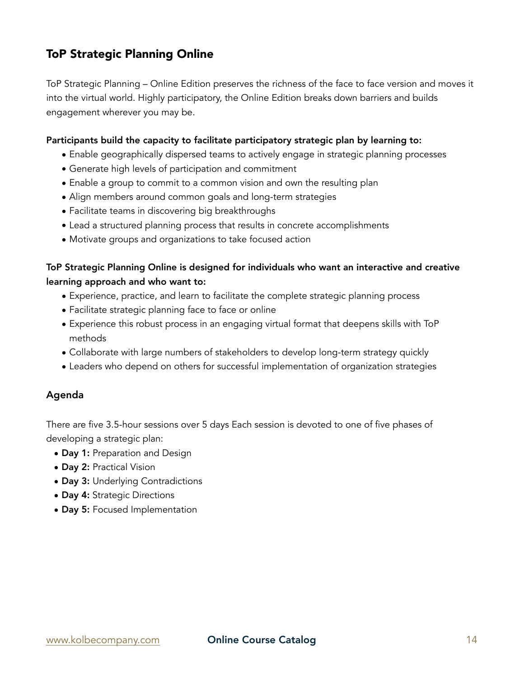# ToP Strategic Planning Online

ToP Strategic Planning – Online Edition preserves the richness of the face to face version and moves it into the virtual world. Highly participatory, the Online Edition breaks down barriers and builds engagement wherever you may be.

### Participants build the capacity to facilitate participatory strategic plan by learning to:

- Enable geographically dispersed teams to actively engage in strategic planning processes
- Generate high levels of participation and commitment
- Enable a group to commit to a common vision and own the resulting plan
- Align members around common goals and long-term strategies
- Facilitate teams in discovering big breakthroughs
- Lead a structured planning process that results in concrete accomplishments
- Motivate groups and organizations to take focused action

## ToP Strategic Planning Online is designed for individuals who want an interactive and creative learning approach and who want to:

- Experience, practice, and learn to facilitate the complete strategic planning process
- Facilitate strategic planning face to face or online
- Experience this robust process in an engaging virtual format that deepens skills with ToP methods
- Collaborate with large numbers of stakeholders to develop long-term strategy quickly
- Leaders who depend on others for successful implementation of organization strategies

### Agenda

There are five 3.5-hour sessions over 5 days Each session is devoted to one of five phases of developing a strategic plan:

- Day 1: Preparation and Design
- Day 2: Practical Vision
- Day 3: Underlying Contradictions
- Day 4: Strategic Directions
- Day 5: Focused Implementation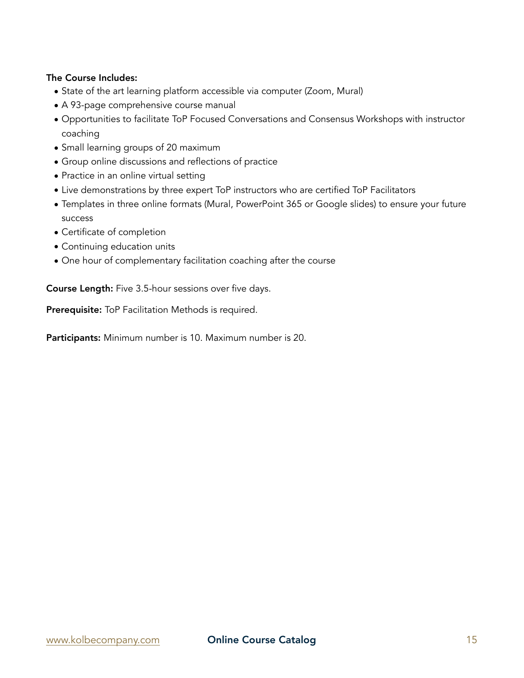- State of the art learning platform accessible via computer (Zoom, Mural)
- A 93-page comprehensive course manual
- Opportunities to facilitate ToP Focused Conversations and Consensus Workshops with instructor coaching
- Small learning groups of 20 maximum
- Group online discussions and reflections of practice
- Practice in an online virtual setting
- Live demonstrations by three expert ToP instructors who are certified ToP Facilitators
- Templates in three online formats (Mural, PowerPoint 365 or Google slides) to ensure your future success
- Certificate of completion
- Continuing education units
- One hour of complementary facilitation coaching after the course

Course Length: Five 3.5-hour sessions over five days.

Prerequisite: ToP Facilitation Methods is required.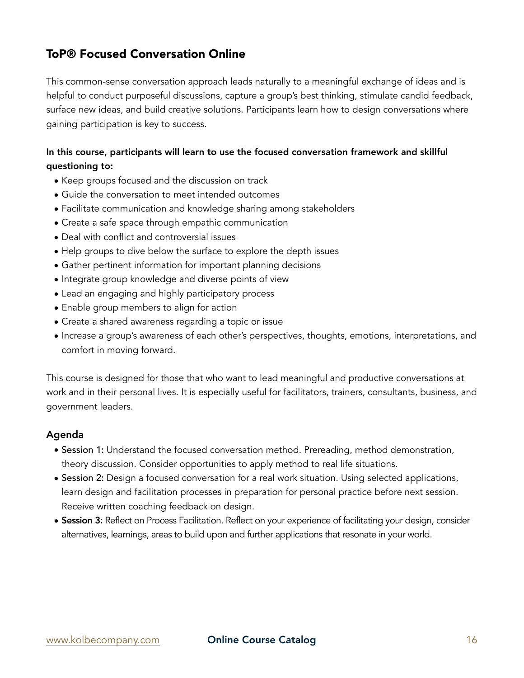# ToP® Focused Conversation Online

This common-sense conversation approach leads naturally to a meaningful exchange of ideas and is helpful to conduct purposeful discussions, capture a group's best thinking, stimulate candid feedback, surface new ideas, and build creative solutions. Participants learn how to design conversations where gaining participation is key to success.

## In this course, participants will learn to use the focused conversation framework and skillful questioning to:

- Keep groups focused and the discussion on track
- Guide the conversation to meet intended outcomes
- Facilitate communication and knowledge sharing among stakeholders
- Create a safe space through empathic communication
- Deal with conflict and controversial issues
- Help groups to dive below the surface to explore the depth issues
- Gather pertinent information for important planning decisions
- Integrate group knowledge and diverse points of view
- Lead an engaging and highly participatory process
- Enable group members to align for action
- Create a shared awareness regarding a topic or issue
- Increase a group's awareness of each other's perspectives, thoughts, emotions, interpretations, and comfort in moving forward.

This course is designed for those that who want to lead meaningful and productive conversations at work and in their personal lives. It is especially useful for facilitators, trainers, consultants, business, and government leaders.

### Agenda

- Session 1: Understand the focused conversation method. Prereading, method demonstration, theory discussion. Consider opportunities to apply method to real life situations.
- Session 2: Design a focused conversation for a real work situation. Using selected applications, learn design and facilitation processes in preparation for personal practice before next session. Receive written coaching feedback on design.
- Session 3: Reflect on Process Facilitation. Reflect on your experience of facilitating your design, consider alternatives, learnings, areas to build upon and further applications that resonate in your world.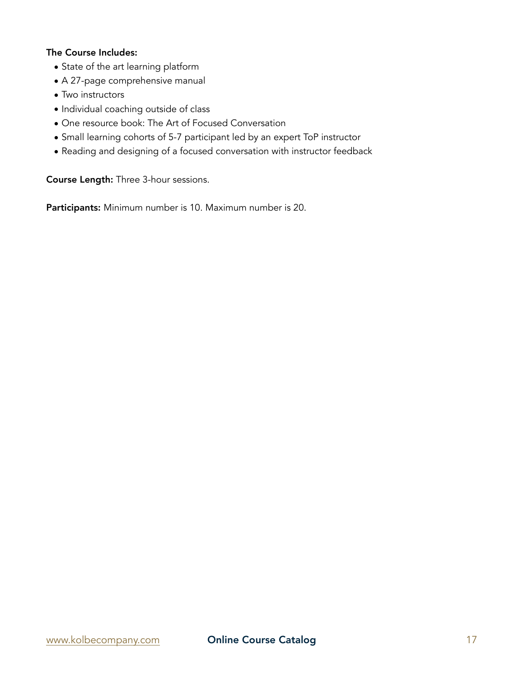- State of the art learning platform
- A 27-page comprehensive manual
- Two instructors
- Individual coaching outside of class
- One resource book: The Art of Focused Conversation
- Small learning cohorts of 5-7 participant led by an expert ToP instructor
- Reading and designing of a focused conversation with instructor feedback

Course Length: Three 3-hour sessions.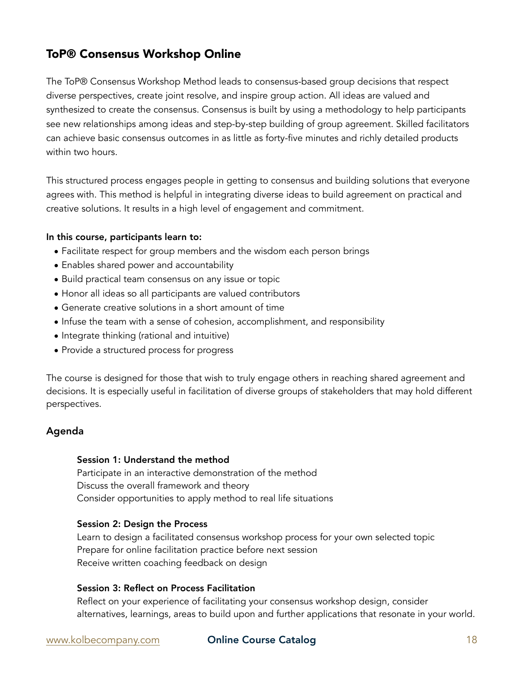# ToP® Consensus Workshop Online

The ToP® Consensus Workshop Method leads to consensus-based group decisions that respect diverse perspectives, create joint resolve, and inspire group action. All ideas are valued and synthesized to create the consensus. Consensus is built by using a methodology to help participants see new relationships among ideas and step-by-step building of group agreement. Skilled facilitators can achieve basic consensus outcomes in as little as forty-five minutes and richly detailed products within two hours.

This structured process engages people in getting to consensus and building solutions that everyone agrees with. This method is helpful in integrating diverse ideas to build agreement on practical and creative solutions. It results in a high level of engagement and commitment.

### In this course, participants learn to:

- Facilitate respect for group members and the wisdom each person brings
- Enables shared power and accountability
- Build practical team consensus on any issue or topic
- Honor all ideas so all participants are valued contributors
- Generate creative solutions in a short amount of time
- Infuse the team with a sense of cohesion, accomplishment, and responsibility
- Integrate thinking (rational and intuitive)
- Provide a structured process for progress

The course is designed for those that wish to truly engage others in reaching shared agreement and decisions. It is especially useful in facilitation of diverse groups of stakeholders that may hold different perspectives.

## Agenda

### Session 1: Understand the method

Participate in an interactive demonstration of the method Discuss the overall framework and theory Consider opportunities to apply method to real life situations

### Session 2: Design the Process

Learn to design a facilitated consensus workshop process for your own selected topic Prepare for online facilitation practice before next session Receive written coaching feedback on design

### Session 3: Reflect on Process Facilitation

Reflect on your experience of facilitating your consensus workshop design, consider alternatives, learnings, areas to build upon and further applications that resonate in your world.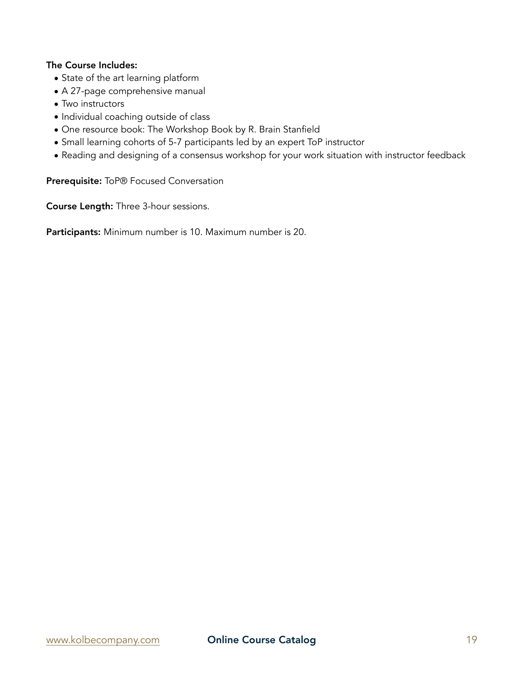- State of the art learning platform
- A 27-page comprehensive manual
- Two instructors
- Individual coaching outside of class
- One resource book: The Workshop Book by R. Brain Stanfield
- Small learning cohorts of 5-7 participants led by an expert ToP instructor
- Reading and designing of a consensus workshop for your work situation with instructor feedback

Prerequisite: ToP® Focused Conversation

Course Length: Three 3-hour sessions.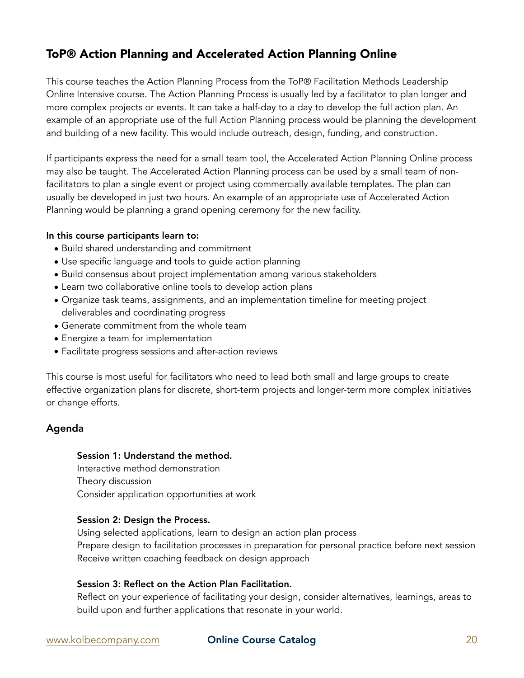# ToP® Action Planning and Accelerated Action Planning Online

This course teaches the Action Planning Process from the ToP® Facilitation Methods Leadership Online Intensive course. The Action Planning Process is usually led by a facilitator to plan longer and more complex projects or events. It can take a half-day to a day to develop the full action plan. An example of an appropriate use of the full Action Planning process would be planning the development and building of a new facility. This would include outreach, design, funding, and construction.

If participants express the need for a small team tool, the Accelerated Action Planning Online process may also be taught. The Accelerated Action Planning process can be used by a small team of nonfacilitators to plan a single event or project using commercially available templates. The plan can usually be developed in just two hours. An example of an appropriate use of Accelerated Action Planning would be planning a grand opening ceremony for the new facility.

### In this course participants learn to:

- Build shared understanding and commitment
- Use specific language and tools to guide action planning
- Build consensus about project implementation among various stakeholders
- Learn two collaborative online tools to develop action plans
- Organize task teams, assignments, and an implementation timeline for meeting project deliverables and coordinating progress
- Generate commitment from the whole team
- Energize a team for implementation
- Facilitate progress sessions and after-action reviews

This course is most useful for facilitators who need to lead both small and large groups to create effective organization plans for discrete, short-term projects and longer-term more complex initiatives or change efforts.

### Agenda

#### Session 1: Understand the method.

Interactive method demonstration Theory discussion Consider application opportunities at work

#### Session 2: Design the Process.

Using selected applications, learn to design an action plan process Prepare design to facilitation processes in preparation for personal practice before next session Receive written coaching feedback on design approach

## Session 3: Reflect on the Action Plan Facilitation.

Reflect on your experience of facilitating your design, consider alternatives, learnings, areas to build upon and further applications that resonate in your world.